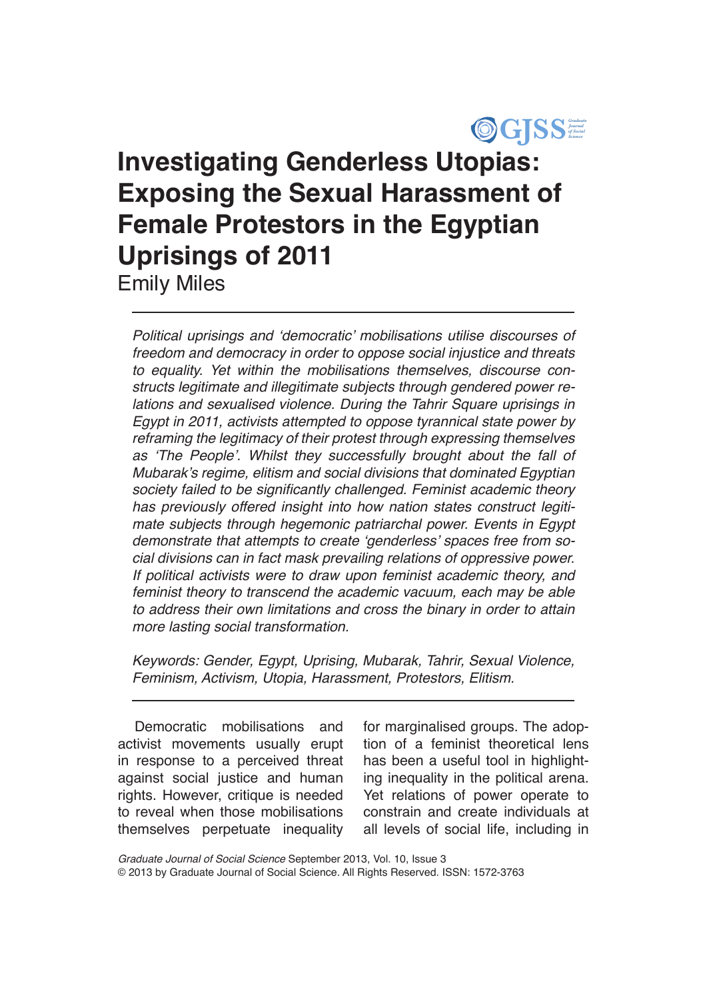

# **Investigating Genderless Utopias: Exposing the Sexual Harassment of Female Protestors in the Egyptian Uprisings of 2011** Emily Miles

Political uprisings and 'democratic' mobilisations utilise discourses of freedom and democracy in order to oppose social injustice and threats to equality. Yet within the mobilisations themselves, discourse constructs legitimate and illegitimate subjects through gendered power relations and sexualised violence. During the Tahrir Square uprisings in Egypt in 2011, activists attempted to oppose tyrannical state power by reframing the legitimacy of their protest through expressing themselves as 'The People'. Whilst they successfully brought about the fall of Mubarak's regime, elitism and social divisions that dominated Egyptian society failed to be significantly challenged. Feminist academic theory has previously offered insight into how nation states construct legitimate subjects through hegemonic patriarchal power. Events in Egypt demonstrate that attempts to create 'genderless' spaces free from social divisions can in fact mask prevailing relations of oppressive power. If political activists were to draw upon feminist academic theory, and feminist theory to transcend the academic vacuum, each may be able to address their own limitations and cross the binary in order to attain more lasting social transformation.

Keywords: Gender, Egypt, Uprising, Mubarak, Tahrir, Sexual Violence, Feminism, Activism, Utopia, Harassment, Protestors, Elitism.

Democratic mobilisations and activist movements usually erupt in response to a perceived threat against social justice and human rights. However, critique is needed to reveal when those mobilisations themselves perpetuate inequality

for marginalised groups. The adoption of a feminist theoretical lens has been a useful tool in highlighting inequality in the political arena. Yet relations of power operate to constrain and create individuals at all levels of social life, including in

*Graduate Journal of Social Science* September 2013, Vol. 10, Issue 3 © 2013 by Graduate Journal of Social Science. All Rights Reserved. ISSN: 1572-3763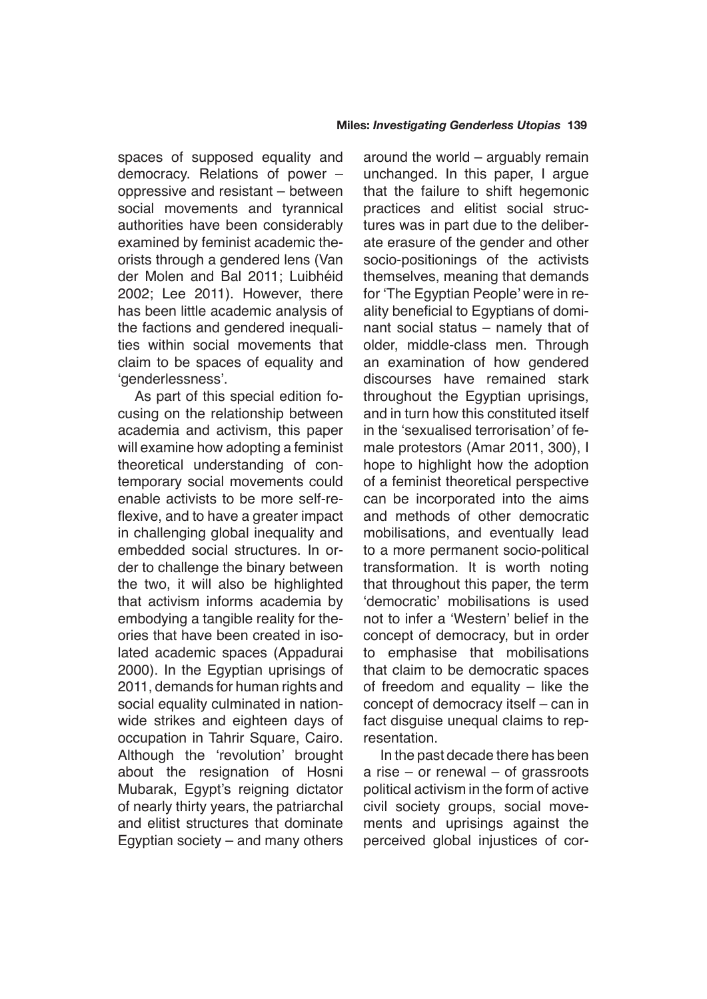spaces of supposed equality and democracy. Relations of power – oppressive and resistant – between social movements and tyrannical authorities have been considerably examined by feminist academic theorists through a gendered lens (Van der Molen and Bal 2011; Luibhéid 2002; Lee 2011). However, there has been little academic analysis of the factions and gendered inequalities within social movements that claim to be spaces of equality and 'genderlessness'.

As part of this special edition focusing on the relationship between academia and activism, this paper will examine how adopting a feminist theoretical understanding of contemporary social movements could enable activists to be more self-reflexive, and to have a greater impact in challenging global inequality and embedded social structures. In order to challenge the binary between the two, it will also be highlighted that activism informs academia by embodying a tangible reality for theories that have been created in isolated academic spaces (Appadurai 2000). In the Egyptian uprisings of 2011, demands for human rights and social equality culminated in nationwide strikes and eighteen days of occupation in Tahrir Square, Cairo. Although the 'revolution' brought about the resignation of Hosni Mubarak, Egypt's reigning dictator of nearly thirty years, the patriarchal and elitist structures that dominate Egyptian society – and many others around the world – arguably remain unchanged. In this paper, I argue that the failure to shift hegemonic practices and elitist social structures was in part due to the deliberate erasure of the gender and other socio-positionings of the activists themselves, meaning that demands for 'The Egyptian People' were in reality beneficial to Egyptians of dominant social status – namely that of older, middle-class men. Through an examination of how gendered discourses have remained stark throughout the Egyptian uprisings, and in turn how this constituted itself in the 'sexualised terrorisation' of female protestors (Amar 2011, 300), I hope to highlight how the adoption of a feminist theoretical perspective can be incorporated into the aims and methods of other democratic mobilisations, and eventually lead to a more permanent socio-political transformation. It is worth noting that throughout this paper, the term 'democratic' mobilisations is used not to infer a 'Western' belief in the concept of democracy, but in order to emphasise that mobilisations that claim to be democratic spaces of freedom and equality – like the concept of democracy itself – can in fact disguise unequal claims to representation.

In the past decade there has been a rise – or renewal – of grassroots political activism in the form of active civil society groups, social movements and uprisings against the perceived global injustices of cor-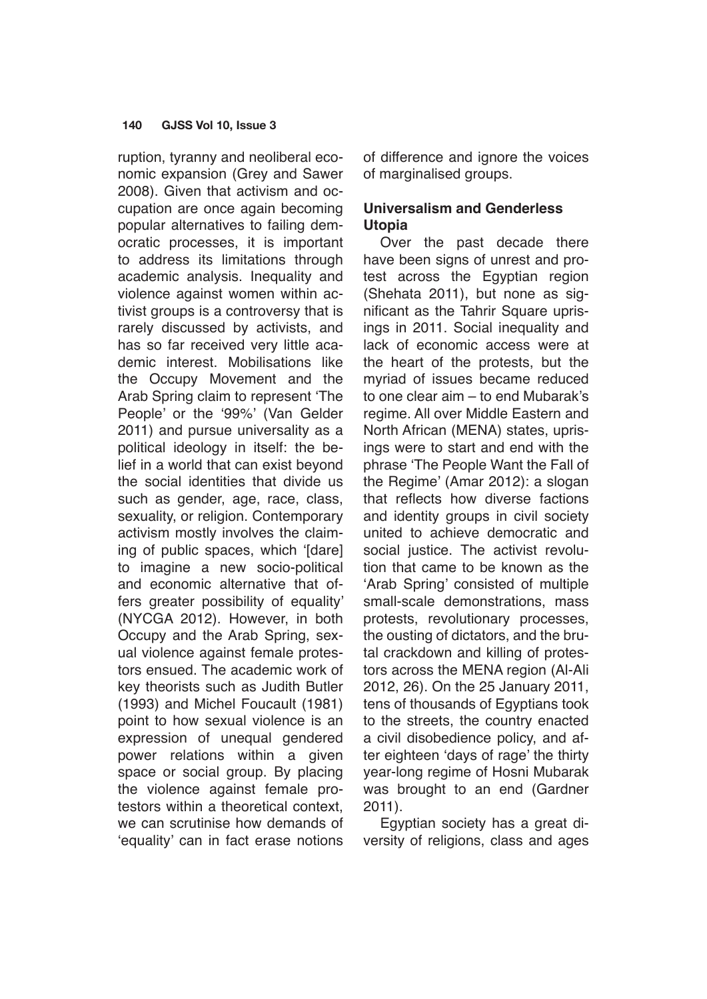ruption, tyranny and neoliberal economic expansion (Grey and Sawer 2008). Given that activism and occupation are once again becoming popular alternatives to failing democratic processes, it is important to address its limitations through academic analysis. Inequality and violence against women within activist groups is a controversy that is rarely discussed by activists, and has so far received very little academic interest. Mobilisations like the Occupy Movement and the Arab Spring claim to represent 'The People' or the '99%' (Van Gelder 2011) and pursue universality as a political ideology in itself: the belief in a world that can exist beyond the social identities that divide us such as gender, age, race, class, sexuality, or religion. Contemporary activism mostly involves the claiming of public spaces, which '[dare] to imagine a new socio-political and economic alternative that offers greater possibility of equality' (NYCGA 2012). However, in both Occupy and the Arab Spring, sexual violence against female protestors ensued. The academic work of key theorists such as Judith Butler (1993) and Michel Foucault (1981) point to how sexual violence is an expression of unequal gendered power relations within a given space or social group. By placing the violence against female protestors within a theoretical context, we can scrutinise how demands of 'equality' can in fact erase notions of difference and ignore the voices of marginalised groups.

## **Universalism and Genderless Utopia**

Over the past decade there have been signs of unrest and protest across the Egyptian region (Shehata 2011), but none as significant as the Tahrir Square uprisings in 2011. Social inequality and lack of economic access were at the heart of the protests, but the myriad of issues became reduced to one clear aim – to end Mubarak's regime. All over Middle Eastern and North African (MENA) states, uprisings were to start and end with the phrase 'The People Want the Fall of the Regime' (Amar 2012): a slogan that reflects how diverse factions and identity groups in civil society united to achieve democratic and social justice. The activist revolution that came to be known as the 'Arab Spring' consisted of multiple small-scale demonstrations, mass protests, revolutionary processes, the ousting of dictators, and the brutal crackdown and killing of protestors across the MENA region (Al-Ali 2012, 26). On the 25 January 2011, tens of thousands of Egyptians took to the streets, the country enacted a civil disobedience policy, and after eighteen 'days of rage' the thirty year-long regime of Hosni Mubarak was brought to an end (Gardner 2011).

Egyptian society has a great diversity of religions, class and ages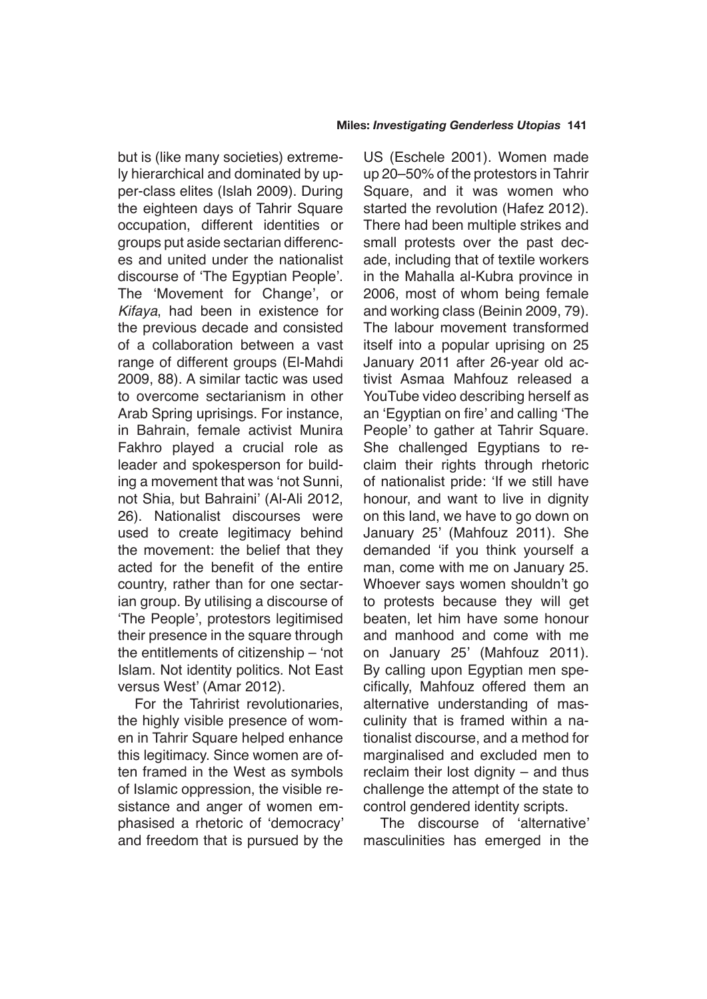but is (like many societies) extremely hierarchical and dominated by upper-class elites (Islah 2009). During the eighteen days of Tahrir Square occupation, different identities or groups put aside sectarian differences and united under the nationalist discourse of 'The Egyptian People'. The 'Movement for Change', or Kifaya, had been in existence for the previous decade and consisted of a collaboration between a vast range of different groups (El-Mahdi 2009, 88). A similar tactic was used to overcome sectarianism in other Arab Spring uprisings. For instance, in Bahrain, female activist Munira Fakhro played a crucial role as leader and spokesperson for building a movement that was 'not Sunni, not Shia, but Bahraini' (Al-Ali 2012, 26). Nationalist discourses were used to create legitimacy behind the movement: the belief that they acted for the benefit of the entire country, rather than for one sectarian group. By utilising a discourse of 'The People', protestors legitimised their presence in the square through the entitlements of citizenship – 'not Islam. Not identity politics. Not East versus West' (Amar 2012).

For the Tahririst revolutionaries, the highly visible presence of women in Tahrir Square helped enhance this legitimacy. Since women are often framed in the West as symbols of Islamic oppression, the visible resistance and anger of women emphasised a rhetoric of 'democracy' and freedom that is pursued by the

US (Eschele 2001). Women made up 20–50% of the protestors in Tahrir Square, and it was women who started the revolution (Hafez 2012). There had been multiple strikes and small protests over the past decade, including that of textile workers in the Mahalla al-Kubra province in 2006, most of whom being female and working class (Beinin 2009, 79). The labour movement transformed itself into a popular uprising on 25 January 2011 after 26-year old activist Asmaa Mahfouz released a YouTube video describing herself as an 'Egyptian on fire' and calling 'The People' to gather at Tahrir Square. She challenged Egyptians to reclaim their rights through rhetoric of nationalist pride: 'If we still have honour, and want to live in dignity on this land, we have to go down on January 25' (Mahfouz 2011). She demanded 'if you think yourself a man, come with me on January 25. Whoever says women shouldn't go to protests because they will get beaten, let him have some honour and manhood and come with me on January 25' (Mahfouz 2011). By calling upon Egyptian men specifically, Mahfouz offered them an alternative understanding of masculinity that is framed within a nationalist discourse, and a method for marginalised and excluded men to reclaim their lost dignity – and thus challenge the attempt of the state to control gendered identity scripts.

The discourse of 'alternative' masculinities has emerged in the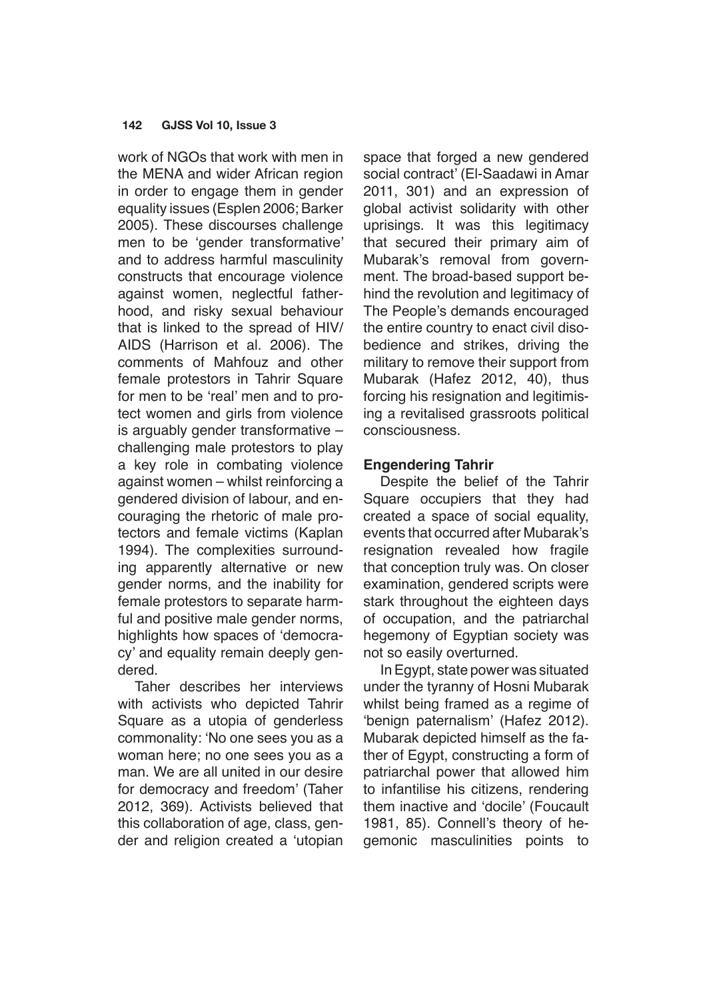work of NGOs that work with men in the MENA and wider African region in order to engage them in gender equality issues (Esplen 2006; Barker 2005). These discourses challenge men to be 'gender transformative' and to address harmful masculinity constructs that encourage violence against women, neglectful fatherhood, and risky sexual behaviour that is linked to the spread of HIV/ AIDS (Harrison et al. 2006). The comments of Mahfouz and other female protestors in Tahrir Square for men to be 'real' men and to protect women and girls from violence is arguably gender transformative – challenging male protestors to play a key role in combating violence against women – whilst reinforcing a gendered division of labour, and encouraging the rhetoric of male protectors and female victims (Kaplan 1994). The complexities surrounding apparently alternative or new gender norms, and the inability for female protestors to separate harmful and positive male gender norms, highlights how spaces of 'democracy' and equality remain deeply gendered.

Taher describes her interviews with activists who depicted Tahrir Square as a utopia of genderless commonality: 'No one sees you as a woman here; no one sees you as a man. We are all united in our desire for democracy and freedom' (Taher 2012, 369). Activists believed that this collaboration of age, class, gender and religion created a 'utopian space that forged a new gendered social contract' (El-Saadawi in Amar 2011, 301) and an expression of global activist solidarity with other uprisings. It was this legitimacy that secured their primary aim of Mubarak's removal from government. The broad-based support behind the revolution and legitimacy of The People's demands encouraged the entire country to enact civil disobedience and strikes, driving the military to remove their support from Mubarak (Hafez 2012, 40), thus forcing his resignation and legitimising a revitalised grassroots political consciousness.

## **Engendering Tahrir**

Despite the belief of the Tahrir Square occupiers that they had created a space of social equality, events that occurred after Mubarak's resignation revealed how fragile that conception truly was. On closer examination, gendered scripts were stark throughout the eighteen days of occupation, and the patriarchal hegemony of Egyptian society was not so easily overturned.

In Egypt, state power was situated under the tyranny of Hosni Mubarak whilst being framed as a regime of 'benign paternalism' (Hafez 2012). Mubarak depicted himself as the father of Egypt, constructing a form of patriarchal power that allowed him to infantilise his citizens, rendering them inactive and 'docile' (Foucault 1981, 85). Connell's theory of hegemonic masculinities points to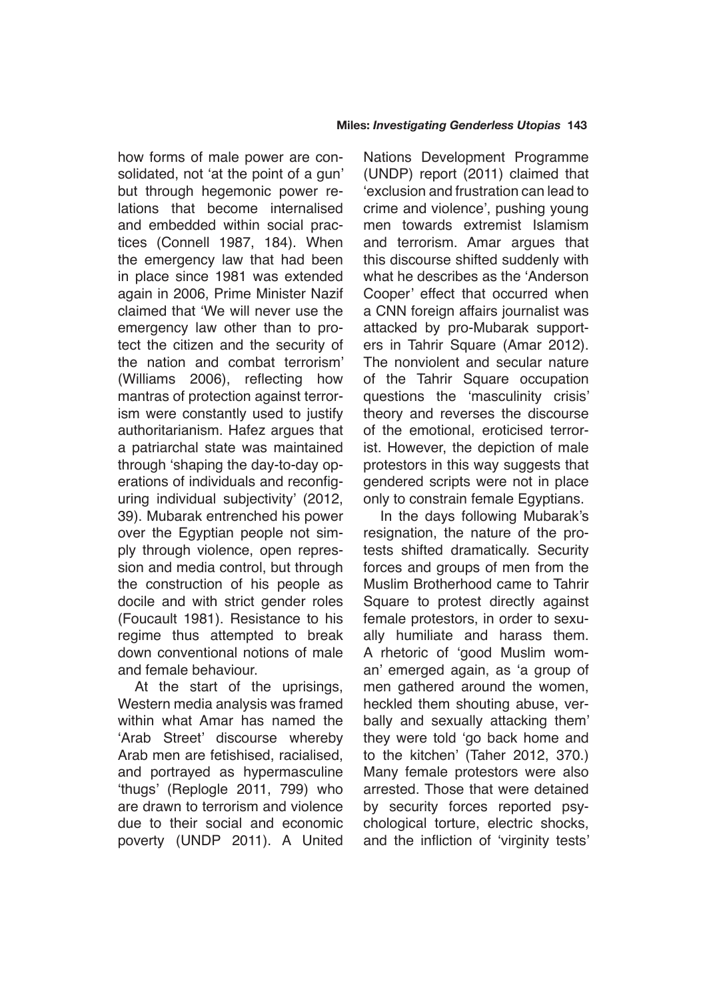how forms of male power are consolidated, not 'at the point of a gun' but through hegemonic power relations that become internalised and embedded within social practices (Connell 1987, 184). When the emergency law that had been in place since 1981 was extended again in 2006, Prime Minister Nazif claimed that 'We will never use the emergency law other than to protect the citizen and the security of the nation and combat terrorism' (Williams 2006), reflecting how mantras of protection against terrorism were constantly used to justify authoritarianism. Hafez argues that a patriarchal state was maintained through 'shaping the day-to-day operations of individuals and reconfiguring individual subjectivity' (2012, 39). Mubarak entrenched his power over the Egyptian people not simply through violence, open repression and media control, but through the construction of his people as docile and with strict gender roles (Foucault 1981). Resistance to his regime thus attempted to break down conventional notions of male and female behaviour.

At the start of the uprisings, Western media analysis was framed within what Amar has named the 'Arab Street' discourse whereby Arab men are fetishised, racialised, and portrayed as hypermasculine 'thugs' (Replogle 2011, 799) who are drawn to terrorism and violence due to their social and economic poverty (UNDP 2011). A United Nations Development Programme (UNDP) report (2011) claimed that 'exclusion and frustration can lead to crime and violence', pushing young men towards extremist Islamism and terrorism. Amar argues that this discourse shifted suddenly with what he describes as the 'Anderson Cooper' effect that occurred when a CNN foreign affairs journalist was attacked by pro-Mubarak supporters in Tahrir Square (Amar 2012). The nonviolent and secular nature of the Tahrir Square occupation questions the 'masculinity crisis' theory and reverses the discourse of the emotional, eroticised terrorist. However, the depiction of male protestors in this way suggests that gendered scripts were not in place only to constrain female Egyptians.

In the days following Mubarak's resignation, the nature of the protests shifted dramatically. Security forces and groups of men from the Muslim Brotherhood came to Tahrir Square to protest directly against female protestors, in order to sexually humiliate and harass them. A rhetoric of 'good Muslim woman' emerged again, as 'a group of men gathered around the women, heckled them shouting abuse, verbally and sexually attacking them' they were told 'go back home and to the kitchen' (Taher 2012, 370.) Many female protestors were also arrested. Those that were detained by security forces reported psychological torture, electric shocks, and the infliction of 'virginity tests'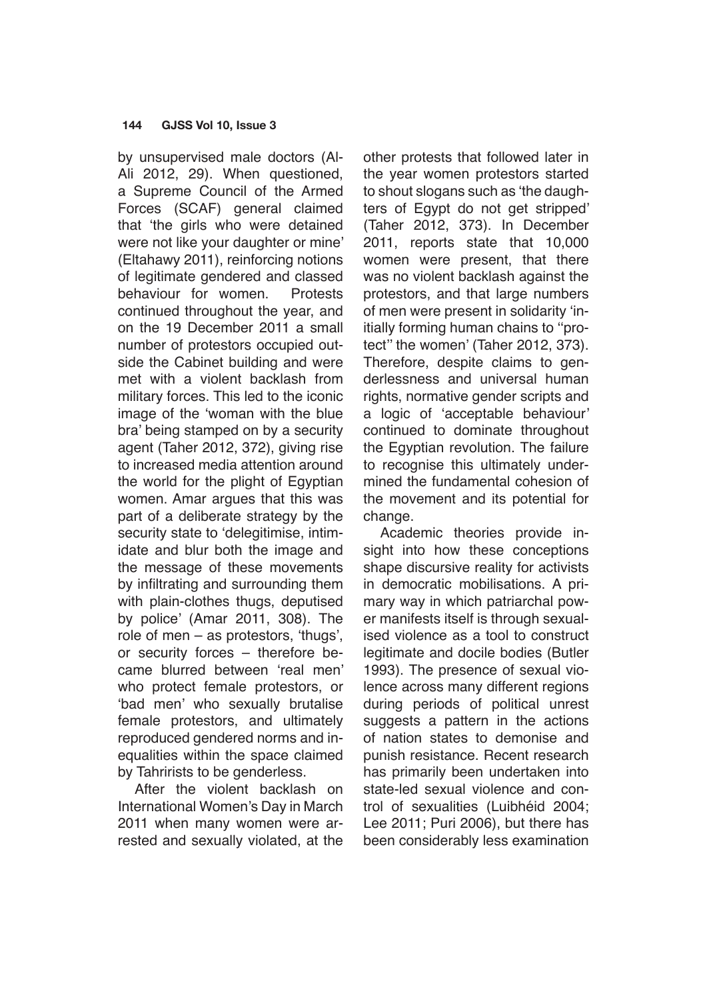by unsupervised male doctors (Al-Ali 2012, 29). When questioned, a Supreme Council of the Armed Forces (SCAF) general claimed that 'the girls who were detained were not like your daughter or mine' (Eltahawy 2011), reinforcing notions of legitimate gendered and classed behaviour for women. Protests continued throughout the year, and on the 19 December 2011 a small number of protestors occupied outside the Cabinet building and were met with a violent backlash from military forces. This led to the iconic image of the 'woman with the blue bra' being stamped on by a security agent (Taher 2012, 372), giving rise to increased media attention around the world for the plight of Egyptian women. Amar argues that this was part of a deliberate strategy by the security state to 'delegitimise, intimidate and blur both the image and the message of these movements by infiltrating and surrounding them with plain-clothes thugs, deputised by police' (Amar 2011, 308). The role of men – as protestors, 'thugs', or security forces – therefore became blurred between 'real men' who protect female protestors, or 'bad men' who sexually brutalise female protestors, and ultimately reproduced gendered norms and inequalities within the space claimed by Tahrirists to be genderless.

After the violent backlash on International Women's Day in March 2011 when many women were arrested and sexually violated, at the other protests that followed later in the year women protestors started to shout slogans such as 'the daughters of Egypt do not get stripped' (Taher 2012, 373). In December 2011, reports state that 10,000 women were present, that there was no violent backlash against the protestors, and that large numbers of men were present in solidarity 'initially forming human chains to ''protect'' the women' (Taher 2012, 373). Therefore, despite claims to genderlessness and universal human rights, normative gender scripts and a logic of 'acceptable behaviour' continued to dominate throughout the Egyptian revolution. The failure to recognise this ultimately undermined the fundamental cohesion of the movement and its potential for change.

Academic theories provide insight into how these conceptions shape discursive reality for activists in democratic mobilisations. A primary way in which patriarchal power manifests itself is through sexualised violence as a tool to construct legitimate and docile bodies (Butler 1993). The presence of sexual violence across many different regions during periods of political unrest suggests a pattern in the actions of nation states to demonise and punish resistance. Recent research has primarily been undertaken into state-led sexual violence and control of sexualities (Luibhéid 2004; Lee 2011; Puri 2006), but there has been considerably less examination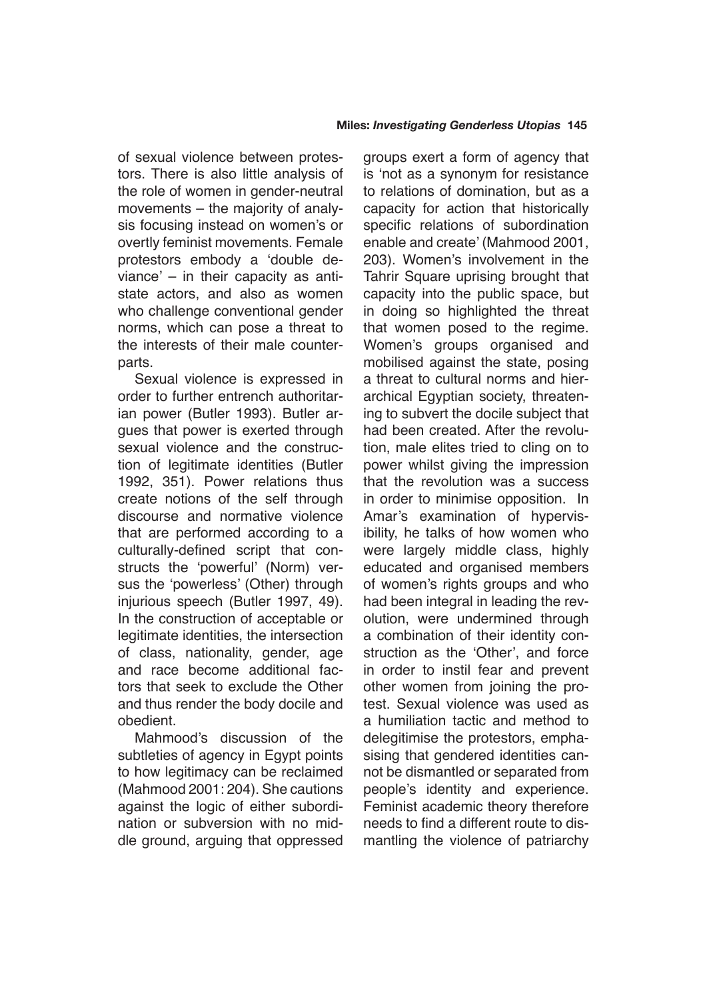of sexual violence between protestors. There is also little analysis of the role of women in gender-neutral movements – the majority of analysis focusing instead on women's or overtly feminist movements. Female protestors embody a 'double deviance' – in their capacity as antistate actors, and also as women who challenge conventional gender norms, which can pose a threat to the interests of their male counterparts.

Sexual violence is expressed in order to further entrench authoritarian power (Butler 1993). Butler argues that power is exerted through sexual violence and the construction of legitimate identities (Butler 1992, 351). Power relations thus create notions of the self through discourse and normative violence that are performed according to a culturally-defined script that constructs the 'powerful' (Norm) versus the 'powerless' (Other) through injurious speech (Butler 1997, 49). In the construction of acceptable or legitimate identities, the intersection of class, nationality, gender, age and race become additional factors that seek to exclude the Other and thus render the body docile and obedient.

Mahmood's discussion of the subtleties of agency in Egypt points to how legitimacy can be reclaimed (Mahmood 2001: 204). She cautions against the logic of either subordination or subversion with no middle ground, arguing that oppressed groups exert a form of agency that is 'not as a synonym for resistance to relations of domination, but as a capacity for action that historically specific relations of subordination enable and create' (Mahmood 2001, 203). Women's involvement in the Tahrir Square uprising brought that capacity into the public space, but in doing so highlighted the threat that women posed to the regime. Women's groups organised and mobilised against the state, posing a threat to cultural norms and hierarchical Egyptian society, threatening to subvert the docile subject that had been created. After the revolution, male elites tried to cling on to power whilst giving the impression that the revolution was a success in order to minimise opposition. In Amar's examination of hypervisibility, he talks of how women who were largely middle class, highly educated and organised members of women's rights groups and who had been integral in leading the revolution, were undermined through a combination of their identity construction as the 'Other', and force in order to instil fear and prevent other women from joining the protest. Sexual violence was used as a humiliation tactic and method to delegitimise the protestors, emphasising that gendered identities cannot be dismantled or separated from people's identity and experience. Feminist academic theory therefore needs to find a different route to dismantling the violence of patriarchy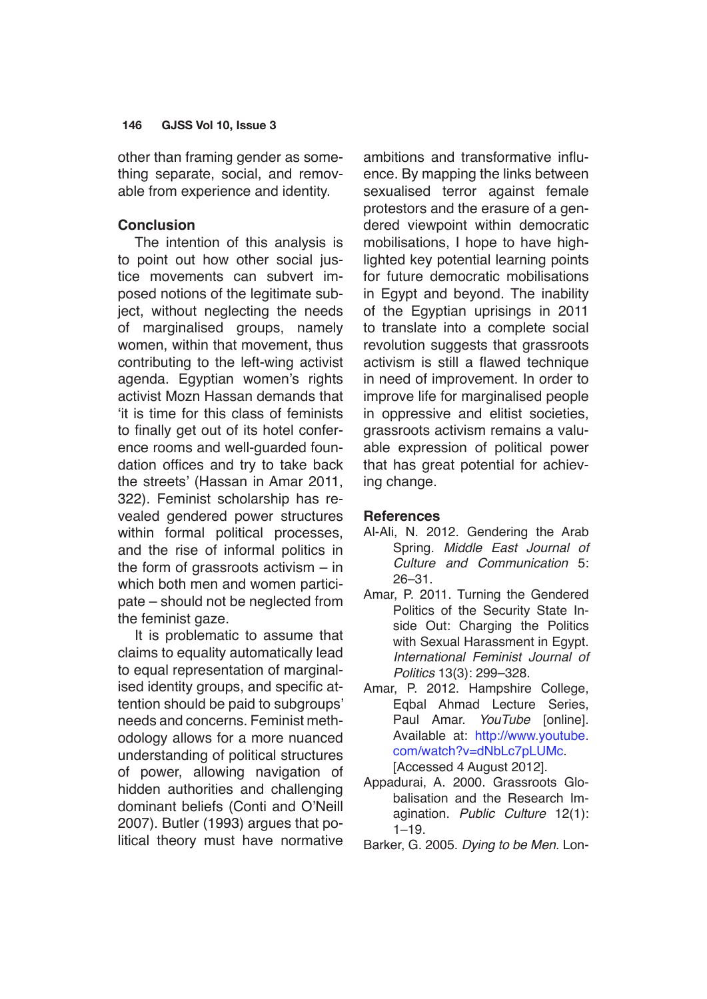other than framing gender as something separate, social, and removable from experience and identity.

## **Conclusion**

The intention of this analysis is to point out how other social justice movements can subvert imposed notions of the legitimate subject, without neglecting the needs of marginalised groups, namely women, within that movement, thus contributing to the left-wing activist agenda. Egyptian women's rights activist Mozn Hassan demands that 'it is time for this class of feminists to finally get out of its hotel conference rooms and well-guarded foundation offices and try to take back the streets' (Hassan in Amar 2011, 322). Feminist scholarship has revealed gendered power structures within formal political processes, and the rise of informal politics in the form of grassroots activism – in which both men and women participate – should not be neglected from the feminist gaze.

It is problematic to assume that claims to equality automatically lead to equal representation of marginalised identity groups, and specific attention should be paid to subgroups' needs and concerns. Feminist methodology allows for a more nuanced understanding of political structures of power, allowing navigation of hidden authorities and challenging dominant beliefs (Conti and O'Neill 2007). Butler (1993) argues that political theory must have normative ambitions and transformative influence. By mapping the links between sexualised terror against female protestors and the erasure of a gendered viewpoint within democratic mobilisations, I hope to have highlighted key potential learning points for future democratic mobilisations in Egypt and beyond. The inability of the Egyptian uprisings in 2011 to translate into a complete social revolution suggests that grassroots activism is still a flawed technique in need of improvement. In order to improve life for marginalised people in oppressive and elitist societies, grassroots activism remains a valuable expression of political power that has great potential for achieving change.

## **References**

- Al-Ali, N. 2012. Gendering the Arab Spring. *Middle East Journal of*  Culture and Communication 5: 26–31.
- Amar, P. 2011. Turning the Gendered Politics of the Security State Inside Out: Charging the Politics with Sexual Harassment in Egypt. International Feminist Journal of *Politics* 13(3): 299–328.
- Amar, P. 2012. Hampshire College, Eqbal Ahmad Lecture Series, Paul Amar. YouTube [online]. Available at: [http://www.youtube.](http://www.youtube.com/watch?v=dNbLc7pLUMc) [com/watch?v=dNbLc7pLUMc.](http://www.youtube.com/watch?v=dNbLc7pLUMc) [Accessed 4 August 2012].
- Appadurai, A. 2000. Grassroots Globalisation and the Research Imagination. Public Culture 12(1):  $1 - 19$ .
- Barker, G. 2005. Dying to be Men. Lon-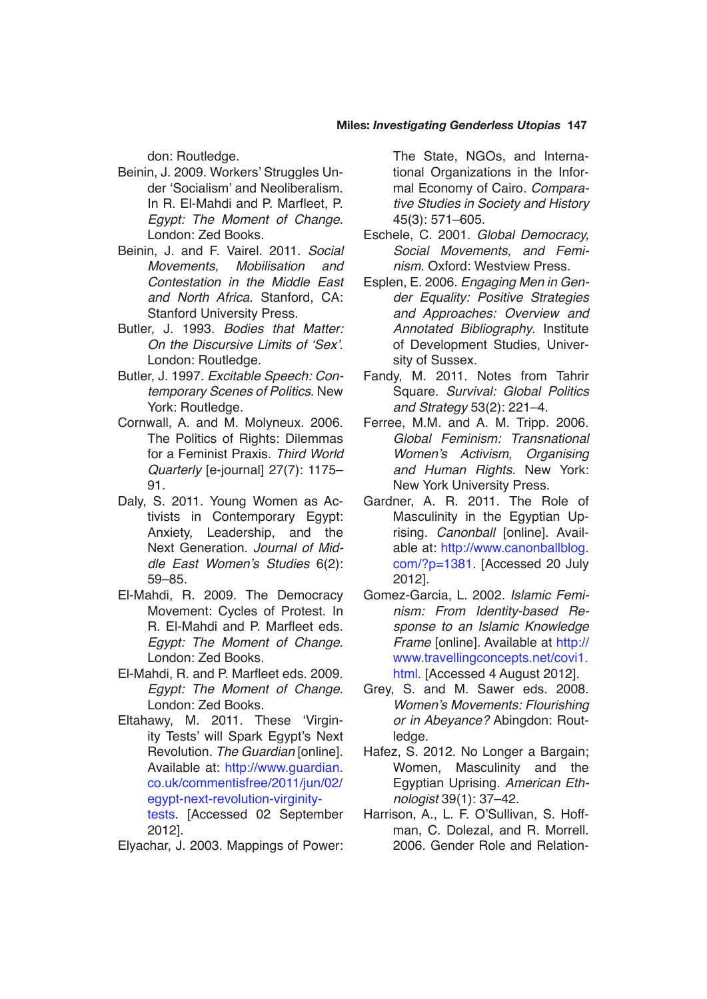#### **Miles:** *Investigating Genderless Utopias* **147**

don: Routledge.

- Beinin, J. 2009. Workers' Struggles Under 'Socialism' and Neoliberalism. In R. El-Mahdi and P. Marfleet, P. Egypt: The Moment of Change. London: Zed Books.
- Beinin, J. and F. Vairel. 2011. *Social*  Movements, Mobilisation and Contestation in the Middle East and North Africa. Stanford, CA: Stanford University Press.
- Butler, J. 1993. Bodies that Matter: On the Discursive Limits of 'Sex'. London: Routledge.
- Butler, J. 1997. Excitable Speech: Contemporary Scenes of Politics. New York: Routledge.
- Cornwall, A. and M. Molyneux. 2006. The Politics of Rights: Dilemmas for a Feminist Praxis. Third World Quarterly [e-journal] 27(7): 1175– 91.
- Daly, S. 2011. Young Women as Activists in Contemporary Egypt: Anxiety, Leadership, and the Next Generation. *Journal of Mid*dle East Women's Studies 6(2): 59–85.
- El-Mahdi, R. 2009. The Democracy Movement: Cycles of Protest. In R. El-Mahdi and P. Marfleet eds. Egypt: The Moment of Change. London: Zed Books.
- El-Mahdi, R. and P. Marfleet eds. 2009. Egypt: The Moment of Change. London: Zed Books.
- Eltahawy, M. 2011. These 'Virginity Tests' will Spark Egypt's Next Revolution. The Guardian [online]. Available at: [http://www.guardian.](http://www.guardian.co.uk/commentisfree/2011/jun/02/egypt-next-revolution-virginity-tests) [co.uk/commentisfree/2011/jun/02/](http://www.guardian.co.uk/commentisfree/2011/jun/02/egypt-next-revolution-virginity-tests) [egypt-next-revolution-virginity-](http://www.guardian.co.uk/commentisfree/2011/jun/02/egypt-next-revolution-virginity-tests)

[tests](http://www.guardian.co.uk/commentisfree/2011/jun/02/egypt-next-revolution-virginity-tests). [Accessed 02 September 2012].

Elyachar, J. 2003. Mappings of Power:

The State, NGOs, and International Organizations in the Informal Economy of Cairo. Comparative Studies in Society and History 45(3): 571–605.

- Eschele, C. 2001. Global Democracy, Social Movements, and Feminism. Oxford: Westview Press.
- Esplen, E. 2006. *Engaging Men in Gen*der Equality: Positive Strategies and Approaches: Overview and Annotated Bibliography. Institute of Development Studies, University of Sussex.
- Fandy, M. 2011. Notes from Tahrir Square. Survival: Global Politics and Strategy 53(2): 221–4.
- Ferree, M.M. and A. M. Tripp. 2006. Global Feminism: Transnational Women's Activism, Organising and Human Rights. New York: New York University Press.
- Gardner, A. R. 2011. The Role of Masculinity in the Egyptian Uprising. Canonball [online]. Available at: [http://www.canonballblog.](http://www.canonballblog.com/?p=1381) [com/?p=1381](http://www.canonballblog.com/?p=1381). [Accessed 20 July 2012].
- Gomez-Garcia, L. 2002. Islamic Feminism: From Identity-based Response to an Islamic Knowledge Frame [online]. Available at [http://](http://www.travellingconcepts.net/covi1.html) [www.travellingconcepts.net/covi1.](http://www.travellingconcepts.net/covi1.html) [html](http://www.travellingconcepts.net/covi1.html). [Accessed 4 August 2012].
- Grey, S. and M. Sawer eds. 2008. Women's Movements: Flourishing or in Abeyance? Abingdon: Routledge.
- Hafez, S. 2012. No Longer a Bargain; Women, Masculinity and the Egyptian Uprising. American Eth*nologist* 39(1): 37–42.
- Harrison, A., L. F. O'Sullivan, S. Hoffman, C. Dolezal, and R. Morrell. 2006. Gender Role and Relation-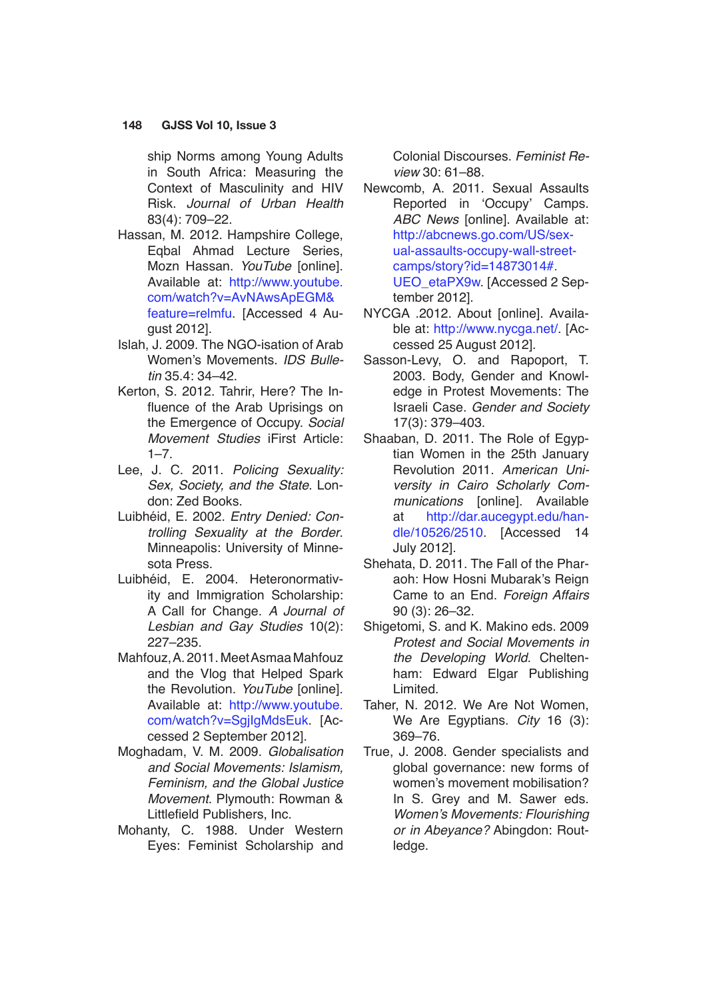ship Norms among Young Adults in South Africa: Measuring the Context of Masculinity and HIV Risk. Journal of Urban Health 83(4): 709–22.

- Hassan, M. 2012. Hampshire College, Eqbal Ahmad Lecture Series, Mozn Hassan. YouTube [online]. Available at: [http://www.youtube.](http://www.youtube.com/watch?v=AvNAwsApEGM&feature=relmfu) [com/watch?v=AvNAwsApEGM&](http://www.youtube.com/watch?v=AvNAwsApEGM&feature=relmfu) [feature=relmfu](http://www.youtube.com/watch?v=AvNAwsApEGM&feature=relmfu). [Accessed 4 August 2012].
- Islah, J. 2009. The NGO-isation of Arab Women's Movements. IDS Bulle*tin* 35.4: 34–42.
- Kerton, S. 2012. Tahrir, Here? The Influence of the Arab Uprisings on the Emergence of Occupy. *Social*  Movement Studies iFirst Article:  $1 - 7$ .
- Lee, J. C. 2011. Policing Sexuality: Sex, Society, and the State. London: Zed Books.
- Luibhéid, E. 2002. Entry Denied: Controlling Sexuality at the Border. Minneapolis: University of Minnesota Press.
- Luibhéid, E. 2004. Heteronormativity and Immigration Scholarship: A Call for Change. A Journal of Lesbian and Gay Studies 10(2): 227–235.
- Mahfouz, A. 2011. Meet Asmaa Mahfouz and the Vlog that Helped Spark the Revolution. YouTube [online]. Available at: [http://www.youtube.](http://www.youtube.com/watch?v=SgjIgMdsEuk) [com/watch?v=SgjIgMdsEuk](http://www.youtube.com/watch?v=SgjIgMdsEuk). [Accessed 2 September 2012].
- Moghadam, V. M. 2009. Globalisation and Social Movements: Islamism, Feminism, and the Global Justice Movement. Plymouth: Rowman & Littlefield Publishers, Inc.
- Mohanty, C. 1988. Under Western Eyes: Feminist Scholarship and

Colonial Discourses. Feminist Review 30: 61–88.

- Newcomb, A. 2011. Sexual Assaults Reported in 'Occupy' Camps. ABC News [online]. Available at: [http://abcnews.go.com/US/sex](http://abcnews.go.com/US/sexual-assaults-occupy-wall-street-camps/story?id=14873014)[ual-assaults-occupy-wall-street](http://abcnews.go.com/US/sexual-assaults-occupy-wall-street-camps/story?id=14873014)[camps/story?id=14873014#.](http://abcnews.go.com/US/sexual-assaults-occupy-wall-street-camps/story?id=14873014) [UEO\\_etaPX9w.](http://abcnews.go.com/US/sexual-assaults-occupy-wall-street-camps/story?id=14873014) [Accessed 2 September 2012].
- NYCGA .2012. About [online]. Available at: <http://www.nycga.net/>. [Accessed 25 August 2012].
- Sasson-Levy, O. and Rapoport, T. 2003. Body, Gender and Knowledge in Protest Movements: The Israeli Case. Gender and Society 17(3): 379–403.
- Shaaban, D. 2011. The Role of Egyptian Women in the 25th January Revolution 2011. American University in Cairo Scholarly Communications [online]. Available at [http://dar.aucegypt.edu/han](http://dar.aucegypt.edu/handle/10526/2510)[dle/10526/2510](http://dar.aucegypt.edu/handle/10526/2510). [Accessed 14 July 2012].
- Shehata, D. 2011. The Fall of the Pharaoh: How Hosni Mubarak's Reign Came to an End. Foreign Affairs 90 (3): 26–32.
- Shigetomi, S. and K. Makino eds. 2009 Protest and Social Movements in the Developing World. Cheltenham: Edward Elgar Publishing Limited.
- Taher, N. 2012. We Are Not Women, We Are Eqyptians. *City* 16 (3): 369–76.
- True, J. 2008. Gender specialists and global governance: new forms of women's movement mobilisation? In S. Grey and M. Sawer eds. Women's Movements: Flourishing or in Abeyance? Abingdon: Routledge.